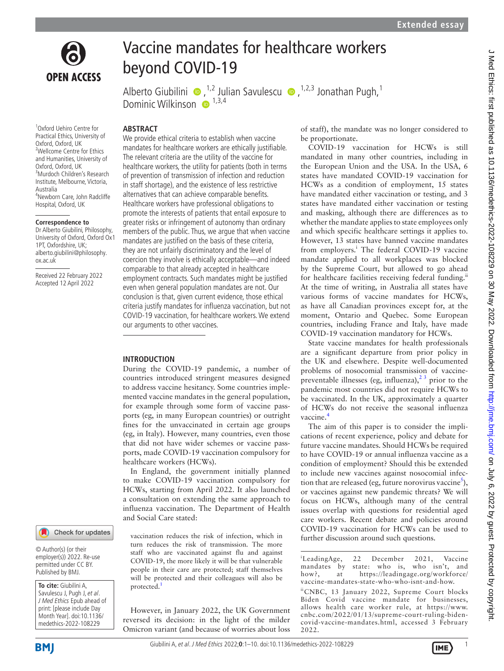

# Vaccine mandates for healthcare workers beyond COVID-19

AlbertoGiubilini  $\bullet$ [,](http://orcid.org/0000-0003-3958-8633)<sup>1,2</sup> Julian Savulescu  $\bullet$ ,<sup>1,2,3</sup> Jonathan Pugh,<sup>1</sup> Dominic Wilkinson  $\bullet$ <sup>1,3,4</sup>

1 Oxford Uehiro Centre for Practical Ethics, University of Oxford, Oxford, UK 2 Wellcome Centre for Ethics and Humanities, University of Oxford, Oxford, UK 3 Murdoch Children's Research Institute, Melbourne, Victoria, Australia 4 Newborn Care, John Radcliffe Hospital, Oxford, UK

#### **Correspondence to**

Dr Alberto Giubilini, Philosophy, University of Oxford, Oxford Ox1 1PT, Oxfordshire, UK; alberto.giubilini@philosophy. ox.ac.uk

Received 22 February 2022 Accepted 12 April 2022

#### Check for updates

© Author(s) (or their employer(s)) 2022. Re-use permitted under CC BY. Published by BMJ.

**To cite:** Giubilini A, Savulescu J, Pugh J, et al. J Med Ethics Epub ahead of print: [please include Day Month Year]. doi:10.1136/ medethics-2022-108229

## **ABSTRACT**

We provide ethical criteria to establish when vaccine mandates for healthcare workers are ethically justifiable. The relevant criteria are the utility of the vaccine for healthcare workers, the utility for patients (both in terms of prevention of transmission of infection and reduction in staff shortage), and the existence of less restrictive alternatives that can achieve comparable benefits. Healthcare workers have professional obligations to promote the interests of patients that entail exposure to greater risks or infringement of autonomy than ordinary members of the public. Thus, we argue that when vaccine mandates are justified on the basis of these criteria, they are not unfairly discriminatory and the level of coercion they involve is ethically acceptable—and indeed comparable to that already accepted in healthcare employment contracts. Such mandates might be justified even when general population mandates are not. Our conclusion is that, given current evidence, those ethical criteria justify mandates for influenza vaccination, but not COVID-19 vaccination, for healthcare workers. We extend our arguments to other vaccines.

#### **INTRODUCTION**

During the COVID-19 pandemic, a number of countries introduced stringent measures designed to address vaccine hesitancy. Some countries implemented vaccine mandates in the general population, for example through some form of vaccine passports (eg, in many European countries) or outright fines for the unvaccinated in certain age groups (eg, in Italy). However, many countries, even those that did not have wider schemes or vaccine passports, made COVID-19 vaccination compulsory for healthcare workers (HCWs).

In England, the government initially planned to make COVID-19 vaccination compulsory for HCWs, starting from April 2022. It also launched a consultation on extending the same approach to influenza vaccination. The Department of Health and Social Care stated:

vaccination reduces the risk of infection, which in turn reduces the risk of transmission. The more staff who are vaccinated against flu and against COVID-19, the more likely it will be that vulnerable people in their care are protected; staff themselves will be protected and their colleagues will also be protected.<sup>[1](#page-8-0)</sup>

However, in January 2022, the UK Government reversed its decision: in the light of the milder Omicron variant (and because of worries about loss of staff), the mandate was no longer considered to be proportionate.

COVID-19 vaccination for HCWs is still mandated in many other countries, including in the European Union and the USA. In the USA, 6 states have mandated COVID-19 vaccination for HCWs as a condition of employment, 15 states have mandated either vaccination or testing, and 3 states have mandated either vaccination or testing and masking, although there are differences as to whether the mandate applies to state employees only and which specific healthcare settings it applies to. However, 13 states have banned vaccine mandates from employers.<sup>i</sup> The federal COVID-19 vaccine mandate applied to all workplaces was blocked by the Supreme Court, but allowed to go ahead for healthcare facilities receiving federal funding.<sup>ii</sup> At the time of writing, in Australia all states have various forms of vaccine mandates for HCWs, as have all Canadian provinces except for, at the moment, Ontario and Quebec. Some European countries, including France and Italy, have made COVID-19 vaccination mandatory for HCWs.

State vaccine mandates for health professionals are a significant departure from prior policy in the UK and elsewhere. Despite well-documented problems of nosocomial transmission of vaccinepreventable illnesses (eg, influenza), $2<sup>3</sup>$  prior to the pandemic most countries did not require HCWs to be vaccinated. In the UK, approximately a quarter of HCWs do not receive the seasonal influenza vaccine.

The aim of this paper is to consider the implications of recent experience, policy and debate for future vaccine mandates. Should HCWs be required to have COVID-19 or annual influenza vaccine as a condition of employment? Should this be extended to include new vaccines against nosocomial infection that are released (eg, future norovirus vaccine $^5$  $^5$ ), or vaccines against new pandemic threats? We will focus on HCWs, although many of the central issues overlap with questions for residential aged care workers. Recent debate and policies around COVID-19 vaccination for HCWs can be used to further discussion around such questions.

<sup>i</sup>LeadingAge, 22 December 2021, Vaccine mandates by state: who is, who isn't, and how?, at [https://leadingage.org/workforce/](https://leadingage.org/workforce/vaccine-mandates-state-who-who-isnt-and-how) [vaccine-mandates-state-who-who-isnt-and-how](https://leadingage.org/workforce/vaccine-mandates-state-who-who-isnt-and-how). iiCNBC, 13 January 2022, Supreme Court blocks Biden Covid vaccine mandate for businesses, allows health care worker rule, at [https://www.](https://www.cnbc.com/2022/01/13/supreme-court-ruling-biden-covid-vaccine-mandates.html) [cnbc.com/2022/01/13/supreme-court-ruling-biden-](https://www.cnbc.com/2022/01/13/supreme-court-ruling-biden-covid-vaccine-mandates.html)

[covid-vaccine-mandates.html](https://www.cnbc.com/2022/01/13/supreme-court-ruling-biden-covid-vaccine-mandates.html), accessed 3 February

**BMI** 

2022.

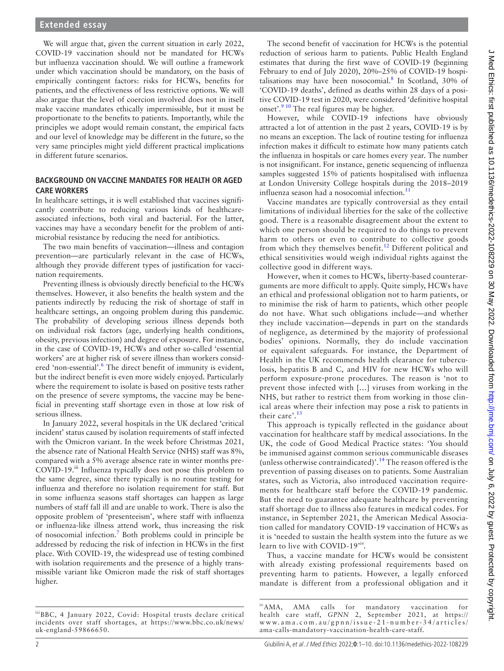We will argue that, given the current situation in early 2022, COVID-19 vaccination should not be mandated for HCWs but influenza vaccination should. We will outline a framework under which vaccination should be mandatory, on the basis of empirically contingent factors: risks for HCWs, benefits for patients, and the effectiveness of less restrictive options. We will also argue that the level of coercion involved does not in itself make vaccine mandates ethically impermissible, but it must be proportionate to the benefits to patients. Importantly, while the principles we adopt would remain constant, the empirical facts and our level of knowledge may be different in the future, so the very same principles might yield different practical implications in different future scenarios.

## **BACKGROUND ON VACCINE MANDATES FOR HEALTH OR AGED CARE WORKERS**

In healthcare settings, it is well established that vaccines significantly contribute to reducing various kinds of healthcareassociated infections, both viral and bacterial. For the latter, vaccines may have a secondary benefit for the problem of antimicrobial resistance by reducing the need for antibiotics.

The two main benefits of vaccination—illness and contagion prevention—are particularly relevant in the case of HCWs, although they provide different types of justification for vaccination requirements.

Preventing illness is obviously directly beneficial to the HCWs themselves. However, it also benefits the health system and the patients indirectly by reducing the risk of shortage of staff in healthcare settings, an ongoing problem during this pandemic. The probability of developing serious illness depends both on individual risk factors (age, underlying health conditions, obesity, previous infection) and degree of exposure. For instance, in the case of COVID-19, HCWs and other so-called 'essential workers' are at higher risk of severe illness than workers considered 'non-essential'.<sup>6</sup> The direct benefit of immunity is evident, but the indirect benefit is even more widely enjoyed. Particularly where the requirement to isolate is based on positive tests rather on the presence of severe symptoms, the vaccine may be beneficial in preventing staff shortage even in those at low risk of serious illness.

In January 2022, several hospitals in the UK declared 'critical incident' status caused by isolation requirements of staff infected with the Omicron variant. In the week before Christmas 2021, the absence rate of National Health Service (NHS) staff was 8%, compared with a 5% average absence rate in winter months pre-COVID-19.<sup>iii</sup> Influenza typically does not pose this problem to the same degree, since there typically is no routine testing for influenza and therefore no isolation requirement for staff. But in some influenza seasons staff shortages can happen as large numbers of staff fall ill and are unable to work. There is also the opposite problem of 'presenteeism', where staff with influenza or influenza-like illness attend work, thus increasing the risk of nosocomial infection.[7](#page-8-5) Both problems could in principle be addressed by reducing the risk of infection in HCWs in the first place. With COVID-19, the widespread use of testing combined with isolation requirements and the presence of a highly transmissible variant like Omicron made the risk of staff shortages higher.

The second benefit of vaccination for HCWs is the potential reduction of serious harm to patients. Public Health England estimates that during the first wave of COVID-19 (beginning February to end of July 2020), 20%–25% of COVID-19 hospitalisations may have been nosocomial. $\delta$  In Scotland, 30% of 'COVID-19 deaths', defined as deaths within 28 days of a positive COVID-19 test in 2020, were considered 'definitive hospital onset'.<sup>9 10</sup> The real figures may be higher.

However, while COVID-19 infections have obviously attracted a lot of attention in the past 2 years, COVID-19 is by no means an exception. The lack of routine testing for influenza infection makes it difficult to estimate how many patients catch the influenza in hospitals or care homes every year. The number is not insignificant. For instance, genetic sequencing of influenza samples suggested 15% of patients hospitalised with influenza at London University College hospitals during the 2018–2019 influenza season had a nosocomial infection. $^{11}$  $^{11}$  $^{11}$ 

Vaccine mandates are typically controversial as they entail limitations of individual liberties for the sake of the collective good. There is a reasonable disagreement about the extent to which one person should be required to do things to prevent harm to others or even to contribute to collective goods from which they themselves benefit.<sup>[12](#page-8-9)</sup> Different political and ethical sensitivities would weigh individual rights against the collective good in different ways.

However, when it comes to HCWs, liberty-based counterarguments are more difficult to apply. Quite simply, HCWs have an ethical and professional obligation not to harm patients, or to minimise the risk of harm to patients, which other people do not have. What such obligations include—and whether they include vaccination—depends in part on the standards of negligence, as determined by the majority of professional bodies' opinions. Normally, they do include vaccination or equivalent safeguards. For instance, the Department of Health in the UK recommends health clearance for tuberculosis, hepatitis B and C, and HIV for new HCWs who will perform exposure-prone procedures. The reason is 'not to prevent those infected with […] viruses from working in the NHS, but rather to restrict them from working in those clinical areas where their infection may pose a risk to patients in their care'.[13](#page-8-10)

This approach is typically reflected in the guidance about vaccination for healthcare staff by medical associations. In the UK, the code of Good Medical Practice states: 'You should be immunised against common serious communicable diseases (unless otherwise contraindicated)'.[14](#page-8-11) The reason offered is the prevention of passing diseases on to patients. Some Australian states, such as Victoria, also introduced vaccination requirements for healthcare staff before the COVID-19 pandemic. But the need to guarantee adequate healthcare by preventing staff shortage due to illness also features in medical codes. For instance, in September 2021, the American Medical Association called for mandatory COVID-19 vaccination of HCWs as it is 'needed to sustain the health system into the future as we learn to live with COVID-19<sup>tiv</sup>.

Thus, a vaccine mandate for HCWs would be consistent with already existing professional requirements based on preventing harm to patients. However, a legally enforced mandate is different from a professional obligation and it

iiiBBC, 4 January 2022, Covid: Hospital trusts declare critical incidents over staff shortages, at [https://www.bbc.co.uk/news/](https://www.bbc.co.uk/news/uk-england-59866650) [uk-england-59866650](https://www.bbc.co.uk/news/uk-england-59866650).

ivAMA, AMA calls for mandatory vaccination for health care staff, *GPNN* 2, September 2021, at [https://](https://www.ama.com.au/gpnn/issue-21-number-34/articles/ama-calls-mandatory-vaccination-health-care-staff) [www.ama.com.au/gpnn/issue-21-number-34/articles/](https://www.ama.com.au/gpnn/issue-21-number-34/articles/ama-calls-mandatory-vaccination-health-care-staff) [ama-calls-mandatory-vaccination-health-care-staff](https://www.ama.com.au/gpnn/issue-21-number-34/articles/ama-calls-mandatory-vaccination-health-care-staff).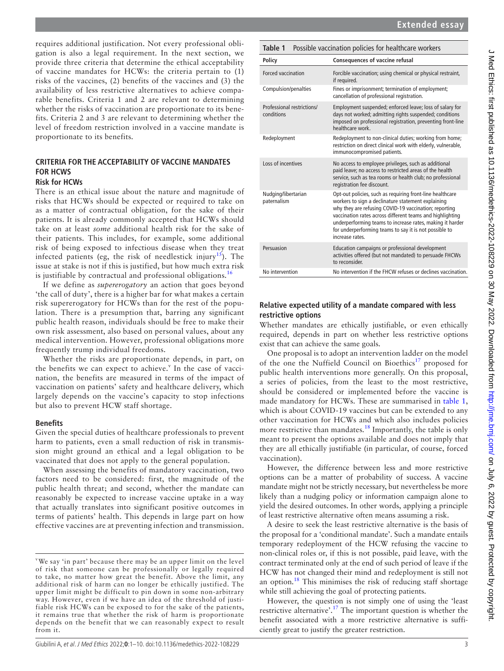requires additional justification. Not every professional obligation is also a legal requirement. In the next section, we provide three criteria that determine the ethical acceptability of vaccine mandates for HCWs: the criteria pertain to (1) risks of the vaccines, (2) benefits of the vaccines and (3) the availability of less restrictive alternatives to achieve comparable benefits. Criteria 1 and 2 are relevant to determining whether the risks of vaccination are proportionate to its benefits. Criteria 2 and 3 are relevant to determining whether the level of freedom restriction involved in a vaccine mandate is proportionate to its benefits.

# **CRITERIA FOR THE ACCEPTABILITY OF VACCINE MANDATES FOR HCWS**

## **Risk for HCWs**

There is an ethical issue about the nature and magnitude of risks that HCWs should be expected or required to take on as a matter of contractual obligation, for the sake of their patients. It is already commonly accepted that HCWs should take on at least *some* additional health risk for the sake of their patients. This includes, for example, some additional risk of being exposed to infectious disease when they treat infected patients (eg, the risk of needlestick injury<sup>15</sup>). The issue at stake is not if this is justified, but how much extra risk is justifiable by contractual and professional obligations.<sup>[16](#page-8-13)</sup>

If we define as *supererogatory* an action that goes beyond 'the call of duty', there is a higher bar for what makes a certain risk supererogatory for HCWs than for the rest of the population. There is a presumption that, barring any significant public health reason, individuals should be free to make their own risk assessment, also based on personal values, about any medical intervention. However, professional obligations more frequently trump individual freedoms.

Whether the risks are proportionate depends, in part, on the benefits we can expect to achieve.<sup>v</sup> In the case of vaccination, the benefits are measured in terms of the impact of vaccination on patients' safety and healthcare delivery, which largely depends on the vaccine's capacity to stop infections but also to prevent HCW staff shortage.

## **Benefits**

Given the special duties of healthcare professionals to prevent harm to patients, even a small reduction of risk in transmission might ground an ethical and a legal obligation to be vaccinated that does not apply to the general population.

When assessing the benefits of mandatory vaccination, two factors need to be considered: first, the magnitude of the public health threat; and second, whether the mandate can reasonably be expected to increase vaccine uptake in a way that actually translates into significant positive outcomes in terms of patients' health. This depends in large part on how effective vaccines are at preventing infection and transmission.

<span id="page-2-0"></span>

| Possible vaccination policies for healthcare workers<br>Table 1 |                                                                                                                                                                                                                                                                                                                                                                                 |  |  |  |
|-----------------------------------------------------------------|---------------------------------------------------------------------------------------------------------------------------------------------------------------------------------------------------------------------------------------------------------------------------------------------------------------------------------------------------------------------------------|--|--|--|
| Policy                                                          | <b>Consequences of vaccine refusal</b>                                                                                                                                                                                                                                                                                                                                          |  |  |  |
| Forced vaccination                                              | Forcible vaccination; using chemical or physical restraint,<br>if required.                                                                                                                                                                                                                                                                                                     |  |  |  |
| Compulsion/penalties                                            | Fines or imprisonment; termination of employment;<br>cancellation of professional registration.                                                                                                                                                                                                                                                                                 |  |  |  |
| Professional restrictions/<br>conditions                        | Employment suspended; enforced leave; loss of salary for<br>days not worked; admitting rights suspended; conditions<br>imposed on professional registration, preventing front-line<br>healthcare work                                                                                                                                                                           |  |  |  |
| Redeployment                                                    | Redeployment to non-clinical duties; working from home;<br>restriction on direct clinical work with elderly, vulnerable,<br>immunocompromised patients.                                                                                                                                                                                                                         |  |  |  |
| Loss of incentives                                              | No access to employee privileges, such as additional<br>paid leave; no access to restricted areas of the health<br>service, such as tea rooms or health club; no professional<br>registration fee discount.                                                                                                                                                                     |  |  |  |
| Nudging/libertarian<br>paternalism                              | Opt-out policies, such as requiring front-line healthcare<br>workers to sign a declinature statement explaining<br>why they are refusing COVID-19 vaccination; reporting<br>vaccination rates across different teams and highlighting<br>underperforming teams to increase rates, making it harder<br>for underperforming teams to say it is not possible to<br>increase rates. |  |  |  |
| Persuasion                                                      | Education campaigns or professional development<br>activities offered (but not mandated) to persuade FHCWs<br>to reconsider.                                                                                                                                                                                                                                                    |  |  |  |
| No intervention                                                 | No intervention if the FHCW refuses or declines vaccination.                                                                                                                                                                                                                                                                                                                    |  |  |  |

# **Relative expected utility of a mandate compared with less restrictive options**

Whether mandates are ethically justifiable, or even ethically required, depends in part on whether less restrictive options exist that can achieve the same goals.

One proposal is to adopt an intervention ladder on the model of the one the Nuffield Council on Bioethics<sup>[17](#page-8-14)</sup> proposed for public health interventions more generally. On this proposal, a series of policies, from the least to the most restrictive, should be considered or implemented before the vaccine is made mandatory for HCWs. These are summarised in [table](#page-2-0) 1, which is about COVID-19 vaccines but can be extended to any other vaccination for HCWs and which also includes policies more restrictive than mandates.<sup>18</sup> Importantly, the table is only meant to present the options available and does not imply that they are all ethically justifiable (in particular, of course, forced vaccination).

However, the difference between less and more restrictive options can be a matter of probability of success. A vaccine mandate might not be strictly necessary, but nevertheless be more likely than a nudging policy or information campaign alone to yield the desired outcomes. In other words, applying a principle of least restrictive alternative often means assuming a risk.

A desire to seek the least restrictive alternative is the basis of the proposal for a 'conditional mandate'. Such a mandate entails temporary redeployment of the HCW refusing the vaccine to non-clinical roles or, if this is not possible, paid leave, with the contract terminated only at the end of such period of leave if the HCW has not changed their mind and redeployment is still not an option. $18$  This minimises the risk of reducing staff shortage while still achieving the goal of protecting patients.

However, the question is not simply one of using the 'least restrictive alternative'.<sup>17</sup> The important question is whether the benefit associated with a more restrictive alternative is sufficiently great to justify the greater restriction.

v We say 'in part' because there may be an upper limit on the level of risk that someone can be professionally or legally required to take, no matter how great the benefit. Above the limit, any additional risk of harm can no longer be ethically justified. The upper limit might be difficult to pin down in some non-arbitrary way. However, even if we have an idea of the threshold of justifiable risk HCWs can be exposed to for the sake of the patients, it remains true that whether the risk of harm is proportionate depends on the benefit that we can reasonably expect to result from it.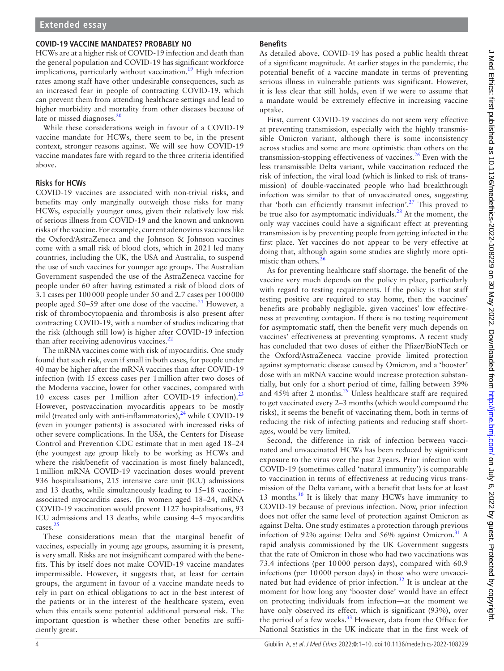#### **COVID-19 VACCINE MANDATES? PROBABLY NO**

HCWs are at a higher risk of COVID-19 infection and death than the general population and COVID-19 has significant workforce implications, particularly without vaccination.<sup>[19](#page-8-16)</sup> High infection rates among staff have other undesirable consequences, such as an increased fear in people of contracting COVID-19, which can prevent them from attending healthcare settings and lead to higher morbidity and mortality from other diseases because of late or missed diagnoses. $20$ 

While these considerations weigh in favour of a COVID-19 vaccine mandate for HCWs, there seem to be, in the present context, stronger reasons against. We will see how COVID-19 vaccine mandates fare with regard to the three criteria identified above.

#### **Risks for HCWs**

COVID-19 vaccines are associated with non-trivial risks, and benefits may only marginally outweigh those risks for many HCWs, especially younger ones, given their relatively low risk of serious illness from COVID-19 and the known and unknown risks of the vaccine. For example, current adenovirus vaccines like the Oxford/AstraZeneca and the Johnson & Johnson vaccines come with a small risk of blood clots, which in 2021 led many countries, including the UK, the USA and Australia, to suspend the use of such vaccines for younger age groups. The Australian Government suspended the use of the AstraZeneca vaccine for people under 60 after having estimated a risk of blood clots of 3.1 cases per 100000 people under 50 and 2.7 cases per 100000 people aged 50–59 after one dose of the vaccine.<sup>21</sup> However, a risk of thrombocytopaenia and thrombosis is also present after contracting COVID-19, with a number of studies indicating that the risk (although still low) is higher after COVID-19 infection than after receiving adenovirus vaccines. $^{22}$  $^{22}$  $^{22}$ 

The mRNA vaccines come with risk of myocarditis. One study found that such risk, even if small in both cases, for people under 40 may be higher after the mRNA vaccines than after COVID-19 infection (with 15 excess cases per 1million after two doses of the Moderna vaccine, lower for other vaccines, compared with 10 excess cases per 1 million after COVID-19 infection).<sup>[23](#page-8-20)</sup> However, postvaccination myocarditis appears to be mostly mild (treated only with anti-inflammatories),<sup>24</sup> while COVID-19 (even in younger patients) is associated with increased risks of other severe complications. In the USA, the Centers for Disease Control and Prevention CDC estimate that in men aged 18–24 (the youngest age group likely to be working as HCWs and where the risk/benefit of vaccination is most finely balanced), 1million mRNA COVID-19 vaccination doses would prevent 936 hospitalisations, 215 intensive care unit (ICU) admissions and 13 deaths, while simultaneously leading to 15–18 vaccineassociated myocarditis cases. (In women aged 18–24, mRNA COVID-19 vaccination would prevent 1127 hospitalisations, 93 ICU admissions and 13 deaths, while causing 4–5 myocarditis cases.<sup>[25](#page-8-22)</sup>

These considerations mean that the marginal benefit of vaccines, especially in young age groups, assuming it is present, is very small. Risks are not insignificant compared with the benefits. This by itself does not make COVID-19 vaccine mandates impermissible. However, it suggests that, at least for certain groups, the argument in favour of a vaccine mandate needs to rely in part on ethical obligations to act in the best interest of the patients or in the interest of the healthcare system, even when this entails some potential additional personal risk. The important question is whether these other benefits are sufficiently great.

#### **Benefits**

As detailed above, COVID-19 has posed a public health threat of a significant magnitude. At earlier stages in the pandemic, the potential benefit of a vaccine mandate in terms of preventing serious illness in vulnerable patients was significant. However, it is less clear that still holds, even if we were to assume that a mandate would be extremely effective in increasing vaccine uptake.

First, current COVID-19 vaccines do not seem very effective at preventing transmission, especially with the highly transmissible Omicron variant, although there is some inconsistency across studies and some are more optimistic than others on the transmission-stopping effectiveness of vaccines.[26](#page-8-23) Even with the less transmissible Delta variant, while vaccination reduced the risk of infection, the viral load (which is linked to risk of transmission) of double-vaccinated people who had breakthrough infection was similar to that of unvaccinated ones, suggesting that 'both can efficiently transmit infection'.<sup>27</sup> This proved to be true also for asymptomatic individuals.<sup>[28](#page-8-25)</sup> At the moment, the only way vaccines could have a significant effect at preventing transmission is by preventing people from getting infected in the first place. Yet vaccines do not appear to be very effective at doing that, although again some studies are slightly more optimistic than others. $26$ 

As for preventing healthcare staff shortage, the benefit of the vaccine very much depends on the policy in place, particularly with regard to testing requirements. If the policy is that staff testing positive are required to stay home, then the vaccines' benefits are probably negligible, given vaccines' low effectiveness at preventing contagion. If there is no testing requirement for asymptomatic staff, then the benefit very much depends on vaccines' effectiveness at preventing symptoms. A recent study has concluded that two doses of either the Pfizer/BioNTech or the Oxford/AstraZeneca vaccine provide limited protection against symptomatic disease caused by Omicron, and a 'booster' dose with an mRNA vaccine would increase protection substantially, but only for a short period of time, falling between 39% and  $45\%$  after 2 months.<sup>[29](#page-8-26)</sup> Unless healthcare staff are required to get vaccinated every 2–3 months (which would compound the risks), it seems the benefit of vaccinating them, both in terms of reducing the risk of infecting patients and reducing staff shortages, would be very limited.

Second, the difference in risk of infection between vaccinated and unvaccinated HCWs has been reduced by significant exposure to the virus over the past 2years. Prior infection with COVID-19 (sometimes called 'natural immunity') is comparable to vaccination in terms of effectiveness at reducing virus transmission of the Delta variant, with a benefit that lasts for at least 13 months. $30$  It is likely that many HCWs have immunity to COVID-19 because of previous infection. Now, prior infection does not offer the same level of protection against Omicron as against Delta. One study estimates a protection through previous infection of 92% against Delta and  $56%$  against Omicron.<sup>31</sup> A rapid analysis commissioned by the UK Government suggests that the rate of Omicron in those who had two vaccinations was 73.4 infections (per 10000 person days), compared with 60.9 infections (per 10000 person days) in those who were unvacci-nated but had evidence of prior infection.<sup>[32](#page-8-29)</sup> It is unclear at the moment for how long any 'booster dose' would have an effect on protecting individuals from infection—at the moment we have only observed its effect, which is significant (93%), over the period of a few weeks.<sup>[33](#page-8-30)</sup> However, data from the Office for National Statistics in the UK indicate that in the first week of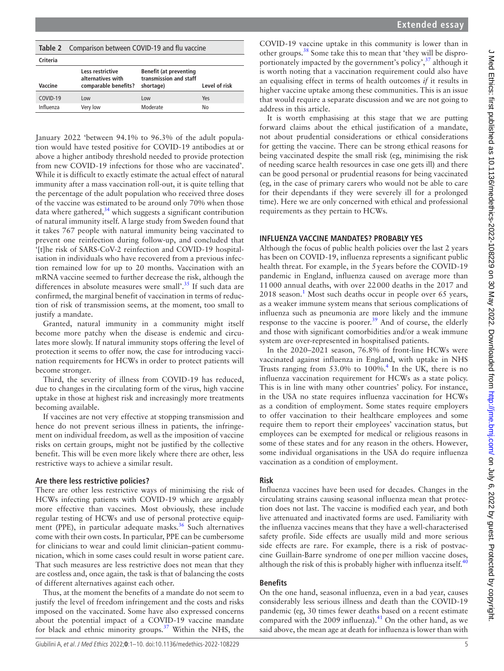| Extended essay |  |
|----------------|--|
|----------------|--|

| COVID-19 vaccine uptake in this community is lower than in                    |
|-------------------------------------------------------------------------------|
| other groups. <sup>38</sup> Some take this to mean that 'they will be dispro- |
| portionately impacted by the government's policy', <sup>37</sup> although it  |
| is worth noting that a vaccination requirement could also have                |
| an equalising effect in terms of health outcomes $if$ it results in           |
| higher vaccine uptake among these communities. This is an issue               |
| that would require a separate discussion and we are not going to              |
| address in this article.                                                      |

It is worth emphasising at this stage that we are putting forward claims about the ethical justification of a mandate, not about prudential considerations or ethical considerations for getting the vaccine. There can be strong ethical reasons for being vaccinated despite the small risk (eg, minimising the risk of needing scarce health resources in case one gets ill) and there can be good personal or prudential reasons for being vaccinated (eg, in the case of primary carers who would not be able to care for their dependants if they were severely ill for a prolonged time). Here we are only concerned with ethical and professional requirements as they pertain to HCWs.

#### **INFLUENZA VACCINE MANDATES? PROBABLY YES**

Although the focus of public health policies over the last 2 years has been on COVID-19, influenza represents a significant public health threat. For example, in the 5years before the COVID-19 pandemic in England, influenza caused on average more than 11000 annual deaths, with over 22000 deaths in the 2017 and  $2018$  $2018$  $2018$  season.<sup>1</sup> Most such deaths occur in people over 65 years, as a weaker immune system means that serious complications of influenza such as pneumonia are more likely and the immune response to the vaccine is poorer.<sup>[39](#page-9-0)</sup> And of course, the elderly and those with significant comorbidities and/or a weak immune system are over-represented in hospitalised patients.

In the 2020–2021 season, 76.8% of front-line HCWs were vaccinated against influenza in England, with uptake in NHS Trusts ranging from  $53.0\%$  to  $100\%$ .<sup>[4](#page-8-2)</sup> In the UK, there is no influenza vaccination requirement for HCWs as a state policy. This is in line with many other countries' policy. For instance, in the USA no state requires influenza vaccination for HCWs as a condition of employment. Some states require employers to offer vaccination to their healthcare employees and some require them to report their employees' vaccination status, but employees can be exempted for medical or religious reasons in some of these states and for any reason in the others. However, some individual organisations in the USA do require influenza vaccination as a condition of employment.

#### **Risk**

Influenza vaccines have been used for decades. Changes in the circulating strains causing seasonal influenza mean that protection does not last. The vaccine is modified each year, and both live attenuated and inactivated forms are used. Familiarity with the influenza vaccines means that they have a well-characterised safety profile. Side effects are usually mild and more serious side effects are rare. For example, there is a risk of postvaccine Guillain-Barre syndrome of oneper million vaccine doses, although the risk of this is probably higher with influenza itself. $40$ 

#### **Benefits**

On the one hand, seasonal influenza, even in a bad year, causes considerably less serious illness and death than the COVID-19 pandemic (eg, 30 times fewer deaths based on a recent estimate compared with the 2009 influenza). $41$  On the other hand, as we said above, the mean age at death for influenza is lower than with

<span id="page-4-0"></span>

| Table 2 Comparison between COVID-19 and flu vaccine |
|-----------------------------------------------------|
|-----------------------------------------------------|

| Criteria  |                                                               |                                                                      |               |
|-----------|---------------------------------------------------------------|----------------------------------------------------------------------|---------------|
| Vaccine   | Less restrictive<br>alternatives with<br>comparable benefits? | <b>Benefit (at preventing</b><br>transmission and staff<br>shortage) | Level of risk |
| COVID-19  | Low                                                           | Low                                                                  | Yes           |
| Influenza | Very low                                                      | Moderate                                                             | No            |

January 2022 'between 94.1% to 96.3% of the adult population would have tested positive for COVID-19 antibodies at or above a higher antibody threshold needed to provide protection from new COVID-19 infections for those who are vaccinated'. While it is difficult to exactly estimate the actual effect of natural immunity after a mass vaccination roll-out, it is quite telling that the percentage of the adult population who received three doses of the vaccine was estimated to be around only 70% when those data where gathered, $34$  which suggests a significant contribution of natural immunity itself. A large study from Sweden found that it takes 767 people with natural immunity being vaccinated to prevent one reinfection during follow-up, and concluded that '[t]he risk of SARS-CoV-2 reinfection and COVID-19 hospitalisation in individuals who have recovered from a previous infection remained low for up to 20 months. Vaccination with an mRNA vaccine seemed to further decrease the risk, although the differences in absolute measures were small'.<sup>[35](#page-8-32)</sup> If such data are confirmed, the marginal benefit of vaccination in terms of reduction of risk of transmission seems, at the moment, too small to justify a mandate.

Granted, natural immunity in a community might itself become more patchy when the disease is endemic and circulates more slowly. If natural immunity stops offering the level of protection it seems to offer now, the case for introducing vaccination requirements for HCWs in order to protect patients will become stronger.

Third, the severity of illness from COVID-19 has reduced, due to changes in the circulating form of the virus, high vaccine uptake in those at highest risk and increasingly more treatments becoming available.

If vaccines are not very effective at stopping transmission and hence do not prevent serious illness in patients, the infringement on individual freedom, as well as the imposition of vaccine risks on certain groups, might not be justified by the collective benefit. This will be even more likely where there are other, less restrictive ways to achieve a similar result.

#### **Are there less restrictive policies?**

There are other less restrictive ways of minimising the risk of HCWs infecting patients with COVID-19 which are arguably more effective than vaccines. Most obviously, these include regular testing of HCWs and use of personal protective equipment (PPE), in particular adequate masks.<sup>36</sup> Such alternatives come with their own costs. In particular, PPE can be cumbersome for clinicians to wear and could limit clinician–patient communication, which in some cases could result in worse patient care. That such measures are less restrictive does not mean that they are costless and, once again, the task is that of balancing the costs of different alternatives against each other.

Thus, at the moment the benefits of a mandate do not seem to justify the level of freedom infringement and the costs and risks imposed on the vaccinated. Some have also expressed concerns about the potential impact of a COVID-19 vaccine mandate for black and ethnic minority groups[.37](#page-8-34) Within the NHS, the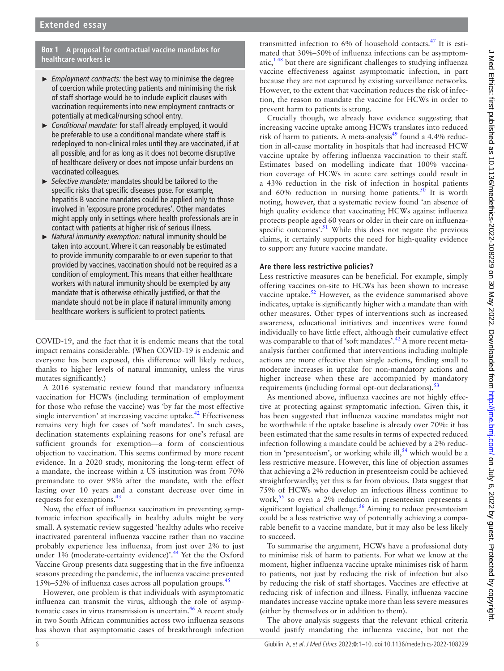#### **Box 1 A proposal for contractual vaccine mandates for healthcare workers ie**

- <span id="page-5-0"></span>► *Employment contracts:* the best way to minimise the degree of coercion while protecting patients and minimising the risk of staff shortage would be to include explicit clauses with vaccination requirements into new employment contracts or potentially at medical/nursing school entry.
- ► *Conditional mandate:* for staff already employed, it would be preferable to use a conditional mandate where staff is redeployed to non-clinical roles until they are vaccinated, if at all possible, and for as long as it does not become disruptive of healthcare delivery or does not impose unfair burdens on vaccinated colleagues.
- ► *Selective mandate:* mandates should be tailored to the specific risks that specific diseases pose. For example, hepatitis B vaccine mandates could be applied only to those involved in 'exposure prone procedures'. Other mandates might apply only in settings where health professionals are in contact with patients at higher risk of serious illness.
- ► *Natural immunity exemption:* natural immunity should be taken into account. Where it can reasonably be estimated to provide immunity comparable to or even superior to that provided by vaccines, vaccination should not be required as a condition of employment. This means that either healthcare workers with natural immunity should be exempted by any mandate that is otherwise ethically justified, or that the mandate should not be in place if natural immunity among healthcare workers is sufficient to protect patients.

COVID-19, and the fact that it is endemic means that the total impact remains considerable. (When COVID-19 is endemic and everyone has been exposed, this difference will likely reduce, thanks to higher levels of natural immunity, unless the virus mutates significantly.)

A 2016 systematic review found that mandatory influenza vaccination for HCWs (including termination of employment for those who refuse the vaccine) was 'by far the most effective single intervention' at increasing vaccine uptake. $^{42}$  $^{42}$  $^{42}$  Effectiveness remains very high for cases of 'soft mandates'. In such cases, declination statements explaining reasons for one's refusal are sufficient grounds for exemption—a form of conscientious objection to vaccination. This seems confirmed by more recent evidence. In a 2020 study, monitoring the long-term effect of a mandate, the increase within a US institution was from 70% premandate to over 98% after the mandate, with the effect lasting over 10 years and a constant decrease over time in requests for exemptions.[43](#page-9-4)

Now, the effect of influenza vaccination in preventing symptomatic infection specifically in healthy adults might be very small. A systematic review suggested 'healthy adults who receive inactivated parenteral influenza vaccine rather than no vaccine probably experience less influenza, from just over 2% to just under 1% (moderate-certainty evidence)'.<sup>[44](#page-9-5)</sup> Yet the the Oxford Vaccine Group presents data suggesting that in the five influenza seasons preceding the pandemic, the influenza vaccine prevented 15%–52% of influenza cases across all population groups. $45$ 

However, one problem is that individuals with asymptomatic influenza can transmit the virus, although the role of asymptomatic cases in virus transmission is uncertain.<sup>46</sup> A recent study in two South African communities across two influenza seasons has shown that asymptomatic cases of breakthrough infection

transmitted infection to 6% of household contacts.[47](#page-9-8) It is estimated that 30%–50%of influenza infections can be asymptomatic, $1^{48}$  but there are significant challenges to studying influenza vaccine effectiveness against asymptomatic infection, in part because they are not captured by existing surveillance networks. However, to the extent that vaccination reduces the risk of infection, the reason to mandate the vaccine for HCWs in order to prevent harm to patients is strong.

Crucially though, we already have evidence suggesting that increasing vaccine uptake among HCWs translates into reduced risk of harm to patients. A meta-analysis $49$  found a 4.4% reduction in all-cause mortality in hospitals that had increased HCW vaccine uptake by offering influenza vaccination to their staff. Estimates based on modelling indicate that 100% vaccination coverage of HCWs in acute care settings could result in a 43% reduction in the risk of infection in hospital patients and  $60\%$  reduction in nursing home patients.<sup>[50](#page-9-10)</sup> It is worth noting, however, that a systematic review found 'an absence of high quality evidence that vaccinating HCWs against influenza protects people aged 60 years or older in their care on influenzaspecific outcomes'.<sup>51</sup> While this does not negate the previous claims, it certainly supports the need for high-quality evidence to support any future vaccine mandate.

## **Are there less restrictive policies?**

Less restrictive measures can be beneficial. For example, simply offering vaccines on-site to HCWs has been shown to increase vaccine uptake.<sup>52</sup> However, as the evidence summarised above indicates, uptake is significantly higher with a mandate than with other measures. Other types of interventions such as increased awareness, educational initiatives and incentives were found individually to have little effect, although their cumulative effect was comparable to that of 'soft mandates'.<sup>42</sup> A more recent metaanalysis further confirmed that interventions including multiple actions are more effective than single actions, finding small to moderate increases in uptake for non-mandatory actions and higher increase when these are accompanied by mandatory requirements (including formal opt-out declarations).<sup>[53](#page-9-13)</sup>

As mentioned above, influenza vaccines are not highly effective at protecting against symptomatic infection. Given this, it has been suggested that influenza vaccine mandates might not be worthwhile if the uptake baseline is already over 70%: it has been estimated that the same results in terms of expected reduced infection following a mandate could be achieved by a 2% reduction in 'presenteeism', or working while ill,<sup>54</sup> which would be a less restrictive measure. However, this line of objection assumes that achieving a 2% reduction in presenteeism could be achieved straightforwardly; yet this is far from obvious. Data suggest that 75% of HCWs who develop an infectious illness continue to work,  $55$  so even a 2% reduction in presenteeism represents a significant logistical challenge.<sup>56</sup> Aiming to reduce presenteeism could be a less restrictive way of potentially achieving a comparable benefit to a vaccine mandate, but it may also be less likely to succeed.

To summarise the argument, HCWs have a professional duty to minimise risk of harm to patients. For what we know at the moment, higher influenza vaccine uptake minimises risk of harm to patients, not just by reducing the risk of infection but also by reducing the risk of staff shortages. Vaccines are effective at reducing risk of infection and illness. Finally, influenza vaccine mandates increase vaccine uptake more than less severe measures (either by themselves or in addition to them).

The above analysis suggests that the relevant ethical criteria would justify mandating the influenza vaccine, but not the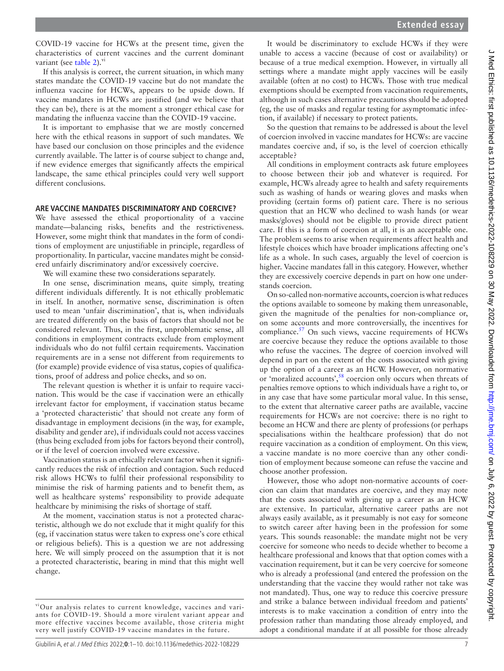COVID-19 vaccine for HCWs at the present time, given the characteristics of current vaccines and the current dominant variant (see [table](#page-4-0)  $2$ ). $\frac{v}{x}$ 

If this analysis is correct, the current situation, in which many states mandate the COVID-19 vaccine but do not mandate the influenza vaccine for HCWs, appears to be upside down. If vaccine mandates in HCWs are justified (and we believe that they can be), there is at the moment a stronger ethical case for mandating the influenza vaccine than the COVID-19 vaccine.

It is important to emphasise that we are mostly concerned here with the ethical reasons in support of such mandates. We have based our conclusion on those principles and the evidence currently available. The latter is of course subject to change and, if new evidence emerges that significantly affects the empirical landscape, the same ethical principles could very well support different conclusions.

#### **ARE VACCINE MANDATES DISCRIMINATORY AND COERCIVE?**

We have assessed the ethical proportionality of a vaccine mandate—balancing risks, benefits and the restrictiveness. However, some might think that mandates in the form of conditions of employment are unjustifiable in principle, regardless of proportionality. In particular, vaccine mandates might be considered unfairly discriminatory and/or excessively coercive.

We will examine these two considerations separately.

In one sense, discrimination means, quite simply, treating different individuals differently. It is not ethically problematic in itself. In another, normative sense, discrimination is often used to mean 'unfair discrimination', that is, when individuals are treated differently on the basis of factors that should not be considered relevant. Thus, in the first, unproblematic sense, all conditions in employment contracts exclude from employment individuals who do not fulfil certain requirements. Vaccination requirements are in a sense not different from requirements to (for example) provide evidence of visa status, copies of qualifications, proof of address and police checks, and so on.

The relevant question is whether it is unfair to require vaccination. This would be the case if vaccination were an ethically irrelevant factor for employment, if vaccination status became a 'protected characteristic' that should not create any form of disadvantage in employment decisions (in the way, for example, disability and gender are), if individuals could not access vaccines (thus being excluded from jobs for factors beyond their control), or if the level of coercion involved were excessive.

Vaccination status is an ethically relevant factor when it significantly reduces the risk of infection and contagion. Such reduced risk allows HCWs to fulfil their professional responsibility to minimise the risk of harming patients and to benefit them, as well as healthcare systems' responsibility to provide adequate healthcare by minimising the risks of shortage of staff.

At the moment, vaccination status is not a protected characteristic, although we do not exclude that it might qualify for this (eg, if vaccination status were taken to express one's core ethical or religious beliefs). This is a question we are not addressing here. We will simply proceed on the assumption that it is not a protected characteristic, bearing in mind that this might well change.

It would be discriminatory to exclude HCWs if they were unable to access a vaccine (because of cost or availability) or because of a true medical exemption. However, in virtually all settings where a mandate might apply vaccines will be easily available (often at no cost) to HCWs. Those with true medical exemptions should be exempted from vaccination requirements, although in such cases alternative precautions should be adopted (eg, the use of masks and regular testing for asymptomatic infection, if available) if necessary to protect patients.

So the question that remains to be addressed is about the level of coercion involved in vaccine mandates for HCWs: are vaccine mandates coercive and, if so, is the level of coercion ethically acceptable?

All conditions in employment contracts ask future employees to choose between their job and whatever is required. For example, HCWs already agree to health and safety requirements such as washing of hands or wearing gloves and masks when providing (certain forms of) patient care. There is no serious question that an HCW who declined to wash hands (or wear masks/gloves) should not be eligible to provide direct patient care. If this is a form of coercion at all, it is an acceptable one. The problem seems to arise when requirements affect health and lifestyle choices which have broader implications affecting one's life as a whole. In such cases, arguably the level of coercion is higher. Vaccine mandates fall in this category. However, whether they are excessively coercive depends in part on how one understands coercion.

On so-called non-normative accounts, coercion is what reduces the options available to someone by making them unreasonable, given the magnitude of the penalties for non-compliance or, on some accounts and more controversially, the incentives for compliance.<sup>57</sup> On such views, vaccine requirements of HCWs are coercive because they reduce the options available to those who refuse the vaccines. The degree of coercion involved will depend in part on the extent of the costs associated with giving up the option of a career as an HCW. However, on normative or 'moralized accounts',<sup>58</sup> coercion only occurs when threats of penalties remove options to which individuals have a right to, or in any case that have some particular moral value. In this sense, to the extent that alternative career paths are available, vaccine requirements for HCWs are not coercive: there is no right to become an HCW and there are plenty of professions (or perhaps specialisations within the healthcare profession) that do not require vaccination as a condition of employment. On this view, a vaccine mandate is no more coercive than any other condition of employment because someone can refuse the vaccine and choose another profession.

However, those who adopt non-normative accounts of coercion can claim that mandates are coercive, and they may note that the costs associated with giving up a career as an HCW are extensive. In particular, alternative career paths are not always easily available, as it presumably is not easy for someone to switch career after having been in the profession for some years. This sounds reasonable: the mandate might not be very coercive for someone who needs to decide whether to become a healthcare professional and knows that that option comes with a vaccination requirement, but it can be very coercive for someone who is already a professional (and entered the profession on the understanding that the vaccine they would rather not take was not mandated). Thus, one way to reduce this coercive pressure and strike a balance between individual freedom and patients' interests is to make vaccination a condition of entry into the profession rather than mandating those already employed, and adopt a conditional mandate if at all possible for those already

viOur analysis relates to current knowledge, vaccines and variants for COVID-19. Should a more virulent variant appear and more effective vaccines become available, those criteria might very well justify COVID-19 vaccine mandates in the future.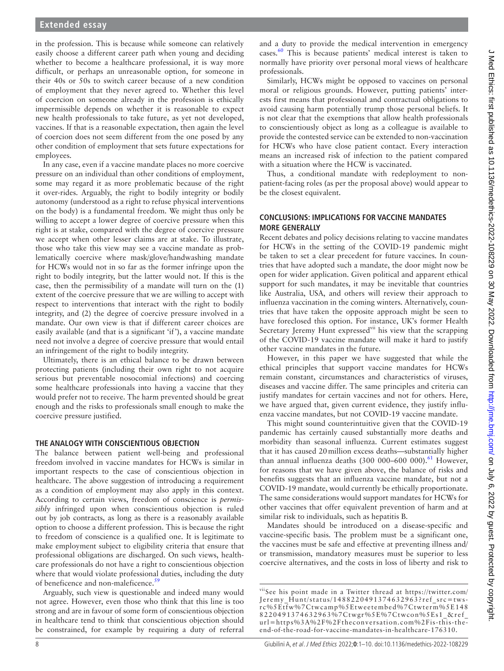in the profession. This is because while someone can relatively easily choose a different career path when young and deciding whether to become a healthcare professional, it is way more difficult, or perhaps an unreasonable option, for someone in their 40s or 50s to switch career because of a new condition of employment that they never agreed to. Whether this level of coercion on someone already in the profession is ethically impermissible depends on whether it is reasonable to expect new health professionals to take future, as yet not developed, vaccines. If that is a reasonable expectation, then again the level of coercion does not seem different from the one posed by any other condition of employment that sets future expectations for employees.

In any case, even if a vaccine mandate places no more coercive pressure on an individual than other conditions of employment, some may regard it as more problematic because of the right it over-rides. Arguably, the right to bodily integrity or bodily autonomy (understood as a right to refuse physical interventions on the body) is a fundamental freedom. We might thus only be willing to accept a lower degree of coercive pressure when this right is at stake, compared with the degree of coercive pressure we accept when other lesser claims are at stake. To illustrate, those who take this view may see a vaccine mandate as problematically coercive where mask/glove/handwashing mandate for HCWs would not in so far as the former infringe upon the right to bodily integrity, but the latter would not. If this is the case, then the permissibility of a mandate will turn on the (1) extent of the coercive pressure that we are willing to accept with respect to interventions that interact with the right to bodily integrity, and (2) the degree of coercive pressure involved in a mandate. Our own view is that if different career choices are easily available (and that is a significant 'if'), a vaccine mandate need not involve a degree of coercive pressure that would entail an infringement of the right to bodily integrity.

Ultimately, there is an ethical balance to be drawn between protecting patients (including their own right to not acquire serious but preventable nosocomial infections) and coercing some healthcare professionals into having a vaccine that they would prefer not to receive. The harm prevented should be great enough and the risks to professionals small enough to make the coercive pressure justified.

#### **THE ANALOGY WITH CONSCIENTIOUS OBJECTION**

The balance between patient well-being and professional freedom involved in vaccine mandates for HCWs is similar in important respects to the case of conscientious objection in healthcare. The above suggestion of introducing a requirement as a condition of employment may also apply in this context. According to certain views, freedom of conscience is *permissibly* infringed upon when conscientious objection is ruled out by job contracts, as long as there is a reasonably available option to choose a different profession. This is because the right to freedom of conscience is a qualified one. It is legitimate to make employment subject to eligibility criteria that ensure that professional obligations are discharged. On such views, healthcare professionals do not have a right to conscientious objection where that would violate professional duties, including the duty of beneficence and non-maleficence.<sup>59</sup>

Arguably, such view is questionable and indeed many would not agree. However, even those who think that this line is too strong and are in favour of some form of conscientious objection in healthcare tend to think that conscientious objection should be constrained, for example by requiring a duty of referral and a duty to provide the medical intervention in emergency cases[.60](#page-9-20) This is because patients' medical interest is taken to normally have priority over personal moral views of healthcare professionals.

Similarly, HCWs might be opposed to vaccines on personal moral or religious grounds. However, putting patients' interests first means that professional and contractual obligations to avoid causing harm potentially trump those personal beliefs. It is not clear that the exemptions that allow health professionals to conscientiously object as long as a colleague is available to provide the contested service can be extended to non-vaccination for HCWs who have close patient contact. Every interaction means an increased risk of infection to the patient compared with a situation where the HCW is vaccinated.

Thus, a conditional mandate with redeployment to nonpatient-facing roles (as per the proposal above) would appear to be the closest equivalent.

#### **CONCLUSIONS: IMPLICATIONS FOR VACCINE MANDATES MORE GENERALLY**

Recent debates and policy decisions relating to vaccine mandates for HCWs in the setting of the COVID-19 pandemic might be taken to set a clear precedent for future vaccines. In countries that have adopted such a mandate, the door might now be open for wider application. Given political and apparent ethical support for such mandates, it may be inevitable that countries like Australia, USA, and others will review their approach to influenza vaccination in the coming winters. Alternatively, countries that have taken the opposite approach might be seen to have foreclosed this option. For instance, UK's former Health Secretary Jeremy Hunt expressed<sup>vii</sup> his view that the scrapping of the COVID-19 vaccine mandate will make it hard to justify other vaccine mandates in the future.

However, in this paper we have suggested that while the ethical principles that support vaccine mandates for HCWs remain constant, circumstances and characteristics of viruses, diseases and vaccine differ. The same principles and criteria can justify mandates for certain vaccines and not for others. Here, we have argued that, given current evidence, they justify influenza vaccine mandates, but not COVID-19 vaccine mandate.

This might sound counterintuitive given that the COVID-19 pandemic has certainly caused substantially more deaths and morbidity than seasonal influenza. Current estimates suggest that it has caused 20million excess deaths—substantially higher than annual influenza deaths  $(300\ 000-600\ 000)$ .<sup>61</sup> However, for reasons that we have given above, the balance of risks and benefits suggests that an influenza vaccine mandate, but not a COVID-19 mandate, would currently be ethically proportionate. The same considerations would support mandates for HCWs for other vaccines that offer equivalent prevention of harm and at similar risk to individuals, such as hepatitis B.

Mandates should be introduced on a disease-specific and vaccine-specific basis. The problem must be a significant one, the vaccines must be safe and effective at preventing illness and/ or transmission, mandatory measures must be superior to less coercive alternatives, and the costs in loss of liberty and risk to

viiSee his point made in a Twitter thread at [https://twitter.com/](https://twitter.com/Jeremy_Hunt/status/1488220491374632963?ref_src=twsrc%5Etfw%7Ctwcamp%5Etweetembed%7Ctwterm%5E1488220491374632963%7Ctwgr%5E%7Ctwcon%5Es1_&ref_url=https%3A%2F%2Ftheconversation.com%2Fis-this-the-end-of-the-road-for-vaccine-mandates-in-healthcare-176310) [Jeremy\\_Hunt/status/1488220491374632963?ref\\_src=tws](https://twitter.com/Jeremy_Hunt/status/1488220491374632963?ref_src=twsrc%5Etfw%7Ctwcamp%5Etweetembed%7Ctwterm%5E1488220491374632963%7Ctwgr%5E%7Ctwcon%5Es1_&ref_url=https%3A%2F%2Ftheconversation.com%2Fis-this-the-end-of-the-road-for-vaccine-mandates-in-healthcare-176310)[rc%5Etfw%7Ctwcamp%5Etweetembed%7Ctwterm%5E148](https://twitter.com/Jeremy_Hunt/status/1488220491374632963?ref_src=twsrc%5Etfw%7Ctwcamp%5Etweetembed%7Ctwterm%5E1488220491374632963%7Ctwgr%5E%7Ctwcon%5Es1_&ref_url=https%3A%2F%2Ftheconversation.com%2Fis-this-the-end-of-the-road-for-vaccine-mandates-in-healthcare-176310) [8220491374632963%7Ctwgr%5E%7Ctwcon%5Es1\\_&ref\\_](https://twitter.com/Jeremy_Hunt/status/1488220491374632963?ref_src=twsrc%5Etfw%7Ctwcamp%5Etweetembed%7Ctwterm%5E1488220491374632963%7Ctwgr%5E%7Ctwcon%5Es1_&ref_url=https%3A%2F%2Ftheconversation.com%2Fis-this-the-end-of-the-road-for-vaccine-mandates-in-healthcare-176310) [url=https%3A%2F%2Ftheconversation.com%2Fis-this-the](https://twitter.com/Jeremy_Hunt/status/1488220491374632963?ref_src=twsrc%5Etfw%7Ctwcamp%5Etweetembed%7Ctwterm%5E1488220491374632963%7Ctwgr%5E%7Ctwcon%5Es1_&ref_url=https%3A%2F%2Ftheconversation.com%2Fis-this-the-end-of-the-road-for-vaccine-mandates-in-healthcare-176310)[end-of-the-road-for-vaccine-mandates-in-healthcare-176310.](https://twitter.com/Jeremy_Hunt/status/1488220491374632963?ref_src=twsrc%5Etfw%7Ctwcamp%5Etweetembed%7Ctwterm%5E1488220491374632963%7Ctwgr%5E%7Ctwcon%5Es1_&ref_url=https%3A%2F%2Ftheconversation.com%2Fis-this-the-end-of-the-road-for-vaccine-mandates-in-healthcare-176310)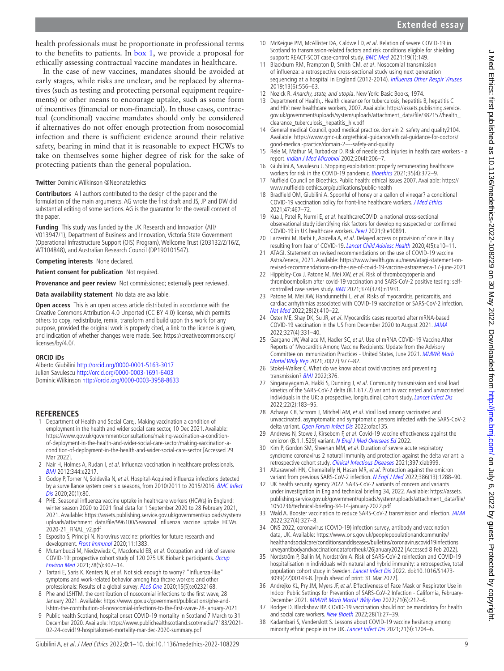health professionals must be proportionate in professional terms to the benefits to patients. In [box](#page-5-0) 1, we provide a proposal for ethically assessing contractual vaccine mandates in healthcare.

In the case of new vaccines, mandates should be avoided at early stages, while risks are unclear, and be replaced by alternatives (such as testing and protecting personal equipment requirements) or other means to encourage uptake, such as some form of incentives (financial or non-financial). In those cases, contractual (conditional) vaccine mandates should only be considered if alternatives do not offer enough protection from nosocomial infection and there is sufficient evidence around their relative safety, bearing in mind that it is reasonable to expect HCWs to take on themselves some higher degree of risk for the sake of protecting patients than the general population.

# **Twitter** Dominic Wilkinson [@Neonatalethics](https://twitter.com/Neonatalethics)

**Contributors** All authors contributed to the design of the paper and the formulation of the main arguments. AG wrote the first draft and JS, JP and DW did substantial editing of some sections. AG is the guarantor for the overall content of the paper.

**Funding** This study was funded by the UK Research and Innovation (AH/ V013947/1), Department of Business and Innovation, Victoria State Government (Operational Infrastructure Support (OIS) Program), Wellcome Trust (203132/Z/16/Z, WT104848), and Australian Research Council (DP190101547).

**Competing interests** None declared.

**Patient consent for publication** Not required.

**Provenance and peer review** Not commissioned; externally peer reviewed.

**Data availability statement** No data are available.

**Open access** This is an open access article distributed in accordance with the Creative Commons Attribution 4.0 Unported (CC BY 4.0) license, which permits others to copy, redistribute, remix, transform and build upon this work for any purpose, provided the original work is properly cited, a link to the licence is given, and indication of whether changes were made. See: [https://creativecommons.org/](https://creativecommons.org/licenses/by/4.0/) [licenses/by/4.0/.](https://creativecommons.org/licenses/by/4.0/)

#### **ORCID iDs**

Alberto Giubilini<http://orcid.org/0000-0001-5163-3017> Julian Savulescu <http://orcid.org/0000-0003-1691-6403> Dominic Wilkinson<http://orcid.org/0000-0003-3958-8633>

## **REFERENCES**

- <span id="page-8-0"></span>1 Department of Health and Social Care,. Making vaccination a condition of employment in the health and wider social care sector, 10 Dec 2021. Available: [https://www.gov.uk/government/consultations/making-vaccination-a-condition](https://www.gov.uk/government/consultations/making-vaccination-a-condition-of-deployment-in-the-health-and-wider-social-care-sector/making-vaccination-a-condition-of-deployment-in-the-health-and-wider-social-care-sector)[of-deployment-in-the-health-and-wider-social-care-sector/making-vaccination-a](https://www.gov.uk/government/consultations/making-vaccination-a-condition-of-deployment-in-the-health-and-wider-social-care-sector/making-vaccination-a-condition-of-deployment-in-the-health-and-wider-social-care-sector)[condition-of-deployment-in-the-health-and-wider-social-care-sector](https://www.gov.uk/government/consultations/making-vaccination-a-condition-of-deployment-in-the-health-and-wider-social-care-sector/making-vaccination-a-condition-of-deployment-in-the-health-and-wider-social-care-sector) [Accessed 29 Mar 2022].
- <span id="page-8-1"></span>2 Nair H, Holmes A, Rudan I, et al. Influenza vaccination in healthcare professionals. [BMJ](http://dx.doi.org/10.1136/bmj.e2217) 2012;344:e2217.
- 3 Godoy P, Torner N, Soldevila N, et al. Hospital-Acquired influenza infections detected by a surveillance system over six seasons, from 2010/2011 to 2015/2016. BMC Infect [Dis](http://dx.doi.org/10.1186/s12879-020-4792-7) 2020:20(1):80.
- <span id="page-8-2"></span>4 PHE. Seasonal influenza vaccine uptake in healthcare workers (HCWs) in England: winter season 2020 to 2021 final data for 1 September 2020 to 28 February 2021, 2021. Available: [https://assets.publishing.service.gov.uk/government/uploads/system/](https://assets.publishing.service.gov.uk/government/uploads/system/uploads/attachment_data/file/996100/Seasonal_influenza_vaccine_uptake_HCWs_2020-21_FINAL_v2.pdf) [uploads/attachment\\_data/file/996100/Seasonal\\_influenza\\_vaccine\\_uptake\\_HCWs\\_](https://assets.publishing.service.gov.uk/government/uploads/system/uploads/attachment_data/file/996100/Seasonal_influenza_vaccine_uptake_HCWs_2020-21_FINAL_v2.pdf) [2020-21\\_FINAL\\_v2.pdf](https://assets.publishing.service.gov.uk/government/uploads/system/uploads/attachment_data/file/996100/Seasonal_influenza_vaccine_uptake_HCWs_2020-21_FINAL_v2.pdf)
- <span id="page-8-3"></span>5 Esposito S, Principi N. Norovirus vaccine: priorities for future research and development. [Front Immunol](http://dx.doi.org/10.3389/fimmu.2020.01383) 2020;11:1383.
- <span id="page-8-4"></span>6 Mutambudzi M, Niedzwiedz C, Macdonald EB, et al. Occupation and risk of severe COVID-19: prospective cohort study of 120 075 UK Biobank participants. Occup [Environ Med](http://dx.doi.org/10.1136/oemed-2020-106731) 2021;78(5):307–14.
- <span id="page-8-5"></span>7 Tartari E, Saris K, Kenters N, et al. Not sick enough to worry? "Influenza-like" symptoms and work-related behavior among healthcare workers and other professionals: Results of a global survey. [PLoS One](http://dx.doi.org/10.1371/journal.pone.0232168) 2020;15(5):e0232168.
- <span id="page-8-6"></span>8 Phe and LSHTM, the contribution of nosocomial infections to the first wave, 28 January 2021. Available: [https://www.gov.uk/government/publications/phe-and](https://www.gov.uk/government/publications/phe-and-lshtm-the-contribution-of-nosocomial-infections-to-the-first-wave-28-january-2021)[lshtm-the-contribution-of-nosocomial-infections-to-the-first-wave-28-january-2021](https://www.gov.uk/government/publications/phe-and-lshtm-the-contribution-of-nosocomial-infections-to-the-first-wave-28-january-2021)
- <span id="page-8-7"></span>9 Public health Scotland, hospital onset COVID-19 mortality in Scotland 7 March to 31 December 2020. Available: [https://www.publichealthscotland.scot/media/7183/2021-](https://www.publichealthscotland.scot/media/7183/2021-02-24-covid19-hospitalonset-mortality-mar-dec-2020-summary.pdf) [02-24-covid19-hospitalonset-mortality-mar-dec-2020-summary.pdf](https://www.publichealthscotland.scot/media/7183/2021-02-24-covid19-hospitalonset-mortality-mar-dec-2020-summary.pdf)
- Giubilini A, et al. J Med Ethics 2022;**0**:1–10. doi:10.1136/medethics-2022-108229 9
- 10 McKeigue PM, McAllister DA, Caldwell D, et al. Relation of severe COVID-19 in Scotland to transmission-related factors and risk conditions eligible for shielding support: REACT-SCOT case-control study. [BMC Med](http://dx.doi.org/10.1186/s12916-021-02021-5) 2021;19(1):149.
- <span id="page-8-8"></span>11 Blackburn RM, Frampton D, Smith CM, et al. Nosocomial transmission of influenza: a retrospective cross-sectional study using next generation sequencing at a hospital in England (2012-2014). [Influenza Other Respir Viruses](http://dx.doi.org/10.1111/irv.12679) 2019;13(6):556–63.
- <span id="page-8-9"></span>12 Nozick R. Anarchy, state, and utopia. New York: Basic Books, 1974.
- <span id="page-8-10"></span>13 Department of Health,. Health clearance for tuberculosis, hepatitis B, hepatitis C and HIV: new healthcare workers, 2007. Available: [https://assets.publishing.service.](https://assets.publishing.service.gov.uk/government/uploads/system/uploads/attachment_data/file/382152/health_clearance_tuberculosis_hepatitis_hiv.pdf) [gov.uk/government/uploads/system/uploads/attachment\\_data/file/382152/health\\_](https://assets.publishing.service.gov.uk/government/uploads/system/uploads/attachment_data/file/382152/health_clearance_tuberculosis_hepatitis_hiv.pdf) [clearance\\_tuberculosis\\_hepatitis\\_hiv.pdf](https://assets.publishing.service.gov.uk/government/uploads/system/uploads/attachment_data/file/382152/health_clearance_tuberculosis_hepatitis_hiv.pdf)
- <span id="page-8-11"></span>14 General medical Council, good medical practice. domain 2: safety and quality2104. Available: [https://www.gmc-uk.org/ethical-guidance/ethical-guidance-for-doctors/](https://www.gmc-uk.org/ethical-guidance/ethical-guidance-for-doctors/good-medical-practice/domain-2----safety-and-quality) [good-medical-practice/domain-2----safety-and-quality](https://www.gmc-uk.org/ethical-guidance/ethical-guidance-for-doctors/good-medical-practice/domain-2----safety-and-quality)
- <span id="page-8-12"></span>15 Rele M, Mathur M, Turbadkar D. Risk of needle stick injuries in health care workers - a report. [Indian J Med Microbiol](http://dx.doi.org/10.1016/S0255-0857(21)03190-X) 2002;20(4):206–7.
- <span id="page-8-13"></span>16 Giubilini A, Savulescu J. Stopping exploitation: properly remunerating healthcare workers for risk in the COVID-19 pandemic. [Bioethics](http://dx.doi.org/10.1111/bioe.12845) 2021;35(4):372-9.
- <span id="page-8-14"></span>17 Nuffield Council on Bioethics. Public health: ethical issues 2007. Available: [https://](https://www.nuffieldbioethics.org/publications/public-health) [www.nuffieldbioethics.org/publications/public-health](https://www.nuffieldbioethics.org/publications/public-health)
- <span id="page-8-15"></span>18 Bradfield OM, Giubilini A. Spoonful of honey or a gallon of vinegar? a conditional COVID-19 vaccination policy for front-line healthcare workers. [J Med Ethics](http://dx.doi.org/10.1136/medethics-2020-107175) 2021;47:467–72.
- <span id="page-8-16"></span>19 Kua J, Patel R, Nurmi E, et al. healthcareCOVID: a national cross-sectional observational study identifying risk factors for developing suspected or confirmed COVID-19 in UK healthcare workers. [PeerJ](http://dx.doi.org/10.7717/peerj.10891) 2021;9:e10891.
- <span id="page-8-17"></span>20 Lazzerini M, Barbi E, Apicella A, et al. Delayed access or provision of care in Italy resulting from fear of COVID-19. [Lancet Child Adolesc Health](http://dx.doi.org/10.1016/S2352-4642(20)30108-5) 2020;4(5):e10–11.
- <span id="page-8-18"></span>21 ATAGI. Statement on revised recommendations on the use of COVID-19 vaccine AstraZeneca, 2021. Available: [https://www.health.gov.au/news/atagi-statement-on](https://www.health.gov.au/news/atagi-statement-on-revised-recommendations-on-the-use-of-covid-19-vaccine-astrazeneca-17-june-2021)[revised-recommendations-on-the-use-of-covid-19-vaccine-astrazeneca-17-june-2021](https://www.health.gov.au/news/atagi-statement-on-revised-recommendations-on-the-use-of-covid-19-vaccine-astrazeneca-17-june-2021)
- <span id="page-8-19"></span>22 Hippisley-Cox J, Patone M, Mei XW, et al. Risk of thrombocytopenia and thromboembolism after covid-19 vaccination and SARS-CoV-2 positive testing: selfcontrolled case series study. [BMJ](http://dx.doi.org/10.1136/bmj.n1931) 2021;374(374):n1931.
- <span id="page-8-20"></span>23 Patone M, Mei XW, Handunnetthi L, et al. Risks of myocarditis, pericarditis, and cardiac arrhythmias associated with COVID-19 vaccination or SARS-CoV-2 infection. [Nat Med](http://dx.doi.org/10.1038/s41591-021-01630-0) 2022;28(2):410–22.
- <span id="page-8-21"></span>24 Oster ME, Shay DK, Su JR, et al. Myocarditis cases reported after mRNA-based COVID-19 vaccination in the US from December 2020 to August 2021. [JAMA](http://dx.doi.org/10.1001/jama.2021.24110) 2022;327(4):331–40.
- <span id="page-8-22"></span>25 Gargano JW, Wallace M, Hadler SC, et al. Use of mRNA COVID-19 Vaccine After Reports of Myocarditis Among Vaccine Recipients: Update from the Advisory Committee on Immunization Practices - United States, June 2021. [MMWR Morb](http://dx.doi.org/10.15585/mmwr.mm7027e2)  [Mortal Wkly Rep](http://dx.doi.org/10.15585/mmwr.mm7027e2) 2021;70(27):977-82.
- <span id="page-8-23"></span>26 Stokel-Walker C. What do we know about covid vaccines and preventing transmission? [BMJ](http://dx.doi.org/10.1136/bmj.o298) 2022;376.
- <span id="page-8-24"></span>27 Singanayagam A, Hakki S, Dunning J, et al. Community transmission and viral load kinetics of the SARS-CoV-2 delta (B.1.617.2) variant in vaccinated and unvaccinated individuals in the UK: a prospective, longitudinal, cohort study. [Lancet Infect Dis](http://dx.doi.org/10.1016/S1473-3099(21)00648-4) 2022;22(2):183–95.
- <span id="page-8-25"></span>28 Acharya CB, Schrom J, Mitchell AM, et al. Viral load among vaccinated and unvaccinated, asymptomatic and symptomatic persons infected with the SARS-CoV-2 delta variant. [Open Forum Infect Dis](http://dx.doi.org/10.1093/ofid/ofac135) 2022: of ac135.
- <span id="page-8-26"></span>29 Andrews N, Stowe J, Kirsebom F, et al. Covid-19 vaccine effectiveness against the omicron (B.1.1.529) variant. [N Engl J Med Overseas Ed](http://dx.doi.org/10.1056/NEJMoa2119451) 2022.
- <span id="page-8-27"></span>30 Kim P, Gordon SM, Sheehan MM, et al. Duration of severe acute respiratory syndrome coronavirus 2 natural immunity and protection against the delta variant: a retrospective cohort study. [Clinical Infectious Diseases](http://dx.doi.org/10.1093/cid/ciab999) 2021;397:ciab999.
- <span id="page-8-28"></span>31 Altarawneh HN, Chemaitelly H, Hasan MR, et al. Protection against the omicron variant from previous SARS-CoV-2 infection. [N Engl J Med](http://dx.doi.org/10.1056/NEJMc2200133) 2022;386(13):1288-90.
- <span id="page-8-29"></span>32 UK health security agency 2022. SARS-CoV-2 variants of concern and variants under investigation in England technical briefing 34, 2022. Available: [https://assets.](https://assets.publishing.service.gov.uk/government/uploads/system/uploads/attachment_data/file/1050236/technical-briefing-34-14-january-2022.pdf) [publishing.service.gov.uk/government/uploads/system/uploads/attachment\\_data/file/](https://assets.publishing.service.gov.uk/government/uploads/system/uploads/attachment_data/file/1050236/technical-briefing-34-14-january-2022.pdf) [1050236/technical-briefing-34-14-january-2022.pdf](https://assets.publishing.service.gov.uk/government/uploads/system/uploads/attachment_data/file/1050236/technical-briefing-34-14-january-2022.pdf)
- <span id="page-8-30"></span>33 Wald A. Booster vaccination to reduce SARS-CoV-2 transmission and infection. [JAMA](http://dx.doi.org/10.1001/jama.2021.23726) 2022;327(4):327–8.
- <span id="page-8-31"></span>34 ONS 2022, coronavirus (COVID-19) infection survey, antibody and vaccination data, UK. Available: [https://www.ons.gov.uk/peoplepopulationandcommunity/](https://www.ons.gov.uk/peoplepopulationandcommunity/healthandsocialcare/conditionsanddiseases/bulletins/coronaviruscovid19infectionsurveyantibodyandvaccinationdatafortheuk/26january2022) [healthandsocialcare/conditionsanddiseases/bulletins/coronaviruscovid19infections](https://www.ons.gov.uk/peoplepopulationandcommunity/healthandsocialcare/conditionsanddiseases/bulletins/coronaviruscovid19infectionsurveyantibodyandvaccinationdatafortheuk/26january2022) [urveyantibodyandvaccinationdatafortheuk/26january2022](https://www.ons.gov.uk/peoplepopulationandcommunity/healthandsocialcare/conditionsanddiseases/bulletins/coronaviruscovid19infectionsurveyantibodyandvaccinationdatafortheuk/26january2022) [Accessed 8 Feb 2022].
- <span id="page-8-32"></span>35 Nordström P, Ballin M, Nordström A. Risk of SARS-CoV-2 reinfection and COVID-19 hospitalisation in individuals with natural and hybrid immunity: a retrospective, total population cohort study in Sweden. [Lancet Infect Dis](http://dx.doi.org/10.1016/S1473-3099(22)00143-8) 2022. doi:10.1016/S1473-3099(22)00143-8. [Epub ahead of print: 31 Mar 2022].
- <span id="page-8-33"></span>36 Andrejko KL, Pry JM, Myers JF, et al. Effectiveness of Face Mask or Respirator Use in Indoor Public Settings for Prevention of SARS-CoV-2 Infection - California, February-December 2021. [MMWR Morb Mortal Wkly Rep](http://dx.doi.org/10.15585/mmwr.mm7106e1) 2022;71(6):212-6
- <span id="page-8-34"></span>37 Rodger D, Blackshaw BP. COVID-19 vaccination should not be mandatory for health and social care workers. [New Bioeth](http://dx.doi.org/10.1080/20502877.2022.2025651) 2022;28(1):27-39.
- <span id="page-8-35"></span>38 Kadambari S, Vanderslott S. Lessons about COVID-19 vaccine hesitancy among minority ethnic people in the UK. [Lancet Infect Dis](http://dx.doi.org/10.1016/S1473-3099(21)00404-7) 2021;21(9):1204-6.